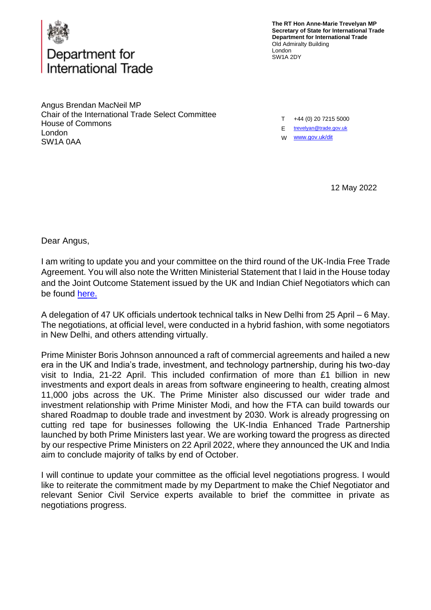

## Department for nternational Trade

**The RT Hon Anne-Marie Trevelyan MP Secretary of State for International Trade Department for International Trade** Old Admiralty Building London SW1A 2DY

Angus Brendan MacNeil MP Chair of the International Trade Select Committee House of Commons London SW1A 0AA

T +44 (0) 20 7215 5000

E [trevelyan@trade.gov.uk](mailto:trevelyan@trade.gov.uk)

W [www.gov.uk/dit](http://www.gov.uk/dit)

12 May 2022

Dear Angus,

I am writing to update you and your committee on the third round of the UK-India Free Trade Agreement. You will also note the Written Ministerial Statement that I laid in the House today and the Joint Outcome Statement issued by the UK and Indian Chief Negotiators which can be found [here.](https://questions-statements.parliament.uk/written-statements/detail/2022-05-12/hcws16.)

A delegation of 47 UK officials undertook technical talks in New Delhi from 25 April – 6 May. The negotiations, at official level, were conducted in a hybrid fashion, with some negotiators in New Delhi, and others attending virtually.

Prime Minister Boris Johnson announced a raft of commercial agreements and hailed a new era in the UK and India's trade, investment, and technology partnership, during his two-day visit to India, 21-22 April. This included confirmation of more than £1 billion in new investments and export deals in areas from software engineering to health, creating almost 11,000 jobs across the UK. The Prime Minister also discussed our wider trade and investment relationship with Prime Minister Modi, and how the FTA can build towards our shared Roadmap to double trade and investment by 2030. Work is already progressing on cutting red tape for businesses following the UK-India Enhanced Trade Partnership launched by both Prime Ministers last year. We are working toward the progress as directed by our respective Prime Ministers on 22 April 2022, where they announced the UK and India aim to conclude majority of talks by end of October.

I will continue to update your committee as the official level negotiations progress. I would like to reiterate the commitment made by my Department to make the Chief Negotiator and relevant Senior Civil Service experts available to brief the committee in private as negotiations progress.